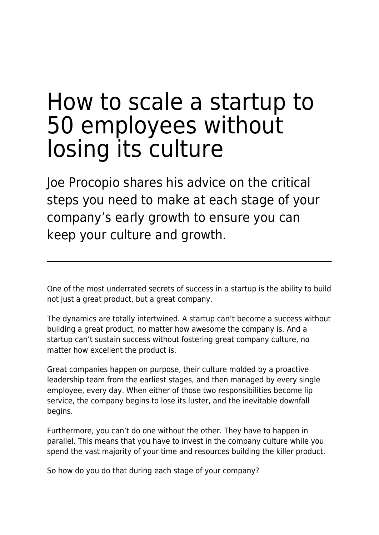# How to scale a startup to 50 employees without losing its culture

Joe Procopio shares his advice on the critical steps you need to make at each stage of your company's early growth to ensure you can keep your culture and growth.

One of the most underrated secrets of success in a startup is the ability to build not just a great product, but a great company.

The dynamics are totally intertwined. A startup can't become a success without building a great product, no matter how awesome the company is. And a startup can't sustain success without fostering great company culture, no matter how excellent the product is.

Great companies happen on purpose, their culture molded by a proactive leadership team from the earliest stages, and then managed by every single employee, every day. When either of those two responsibilities become lip service, the company begins to lose its luster, and the inevitable downfall begins.

Furthermore, you can't do one without the other. They have to happen in parallel. This means that you have to invest in the company culture while you spend the vast majority of your time and resources building the killer product.

So how do you do that during each stage of your company?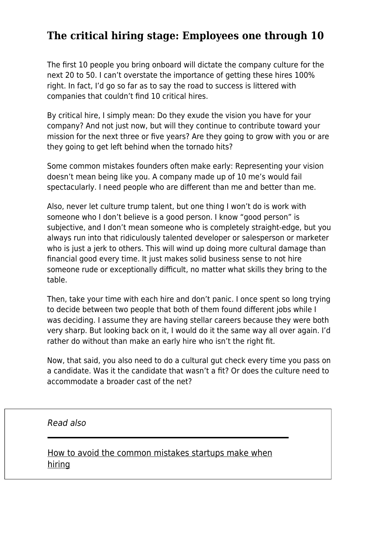## **The critical hiring stage: Employees one through 10**

The first 10 people you bring onboard will dictate the company culture for the next 20 to 50. I can't overstate the importance of getting these hires 100% right. In fact, I'd go so far as to say the road to success is littered with companies that couldn't find 10 critical hires.

By critical hire, I simply mean: Do they exude the vision you have for your company? And not just now, but will they continue to contribute toward your mission for the next three or five years? Are they going to grow with you or are they going to get left behind when the tornado hits?

Some common mistakes founders often make early: Representing your vision doesn't mean being like you. A company made up of 10 me's would fail spectacularly. I need people who are different than me and better than me.

Also, never let culture trump talent, but one thing I won't do is work with someone who I don't believe is a good person. I know "good person" is subjective, and I don't mean someone who is completely straight-edge, but you always run into that ridiculously talented developer or salesperson or marketer who is just a jerk to others. This will wind up doing more cultural damage than financial good every time. It just makes solid business sense to not hire someone rude or exceptionally difficult, no matter what skills they bring to the table.

Then, take your time with each hire and don't panic. I once spent so long trying to decide between two people that both of them found different jobs while I was deciding. I assume they are having stellar careers because they were both very sharp. But looking back on it, I would do it the same way all over again. I'd rather do without than make an early hire who isn't the right fit.

Now, that said, you also need to do a cultural gut check every time you pass on a candidate. Was it the candidate that wasn't a fit? Or does the culture need to accommodate a broader cast of the net?

#### Read also

[How to avoid the common mistakes startups make when](https://www.maddyness.com/uk/2020/01/23/common-mistakes-startups-make-when-hiring/) [hiring](https://www.maddyness.com/uk/2020/01/23/common-mistakes-startups-make-when-hiring/)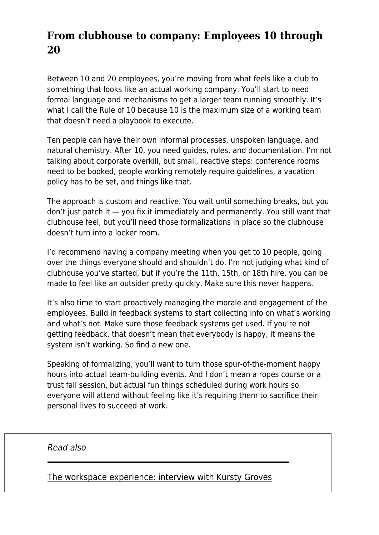## **From clubhouse to company: Employees 10 through 20**

Between 10 and 20 employees, you're moving from what feels like a club to something that looks like an actual working company. You'll start to need formal language and mechanisms to get a larger team running smoothly. It's what I call the Rule of 10 because 10 is the maximum size of a working team that doesn't need a playbook to execute.

Ten people can have their own informal processes, unspoken language, and natural chemistry. After 10, you need guides, rules, and documentation. I'm not talking about corporate overkill, but small, reactive steps: conference rooms need to be booked, people working remotely require guidelines, a vacation policy has to be set, and things like that.

The approach is custom and reactive. You wait until something breaks, but you don't just patch it — you fix it immediately and permanently. You still want that clubhouse feel, but you'll need those formalizations in place so the clubhouse doesn't turn into a locker room.

I'd recommend having a company meeting when you get to 10 people, going over the things everyone should and shouldn't do. I'm not judging what kind of clubhouse you've started, but if you're the 11th, 15th, or 18th hire, you can be made to feel like an outsider pretty quickly. Make sure this never happens.

It's also time to start proactively managing the morale and engagement of the employees. Build in feedback systems to start collecting info on what's working and what's not. Make sure those feedback systems get used. If you're not getting feedback, that doesn't mean that everybody is happy, it means the system isn't working. So find a new one.

Speaking of formalizing, you'll want to turn those spur-of-the-moment happy hours into actual team-building events. And I don't mean a ropes course or a trust fall session, but actual fun things scheduled during work hours so everyone will attend without feeling like it's requiring them to sacrifice their personal lives to succeed at work.

Read also

[The workspace experience: interview with Kursty Groves](https://www.maddyness.com/uk/2020/07/16/the-workspace-experience-interview-with-kursty-groves/)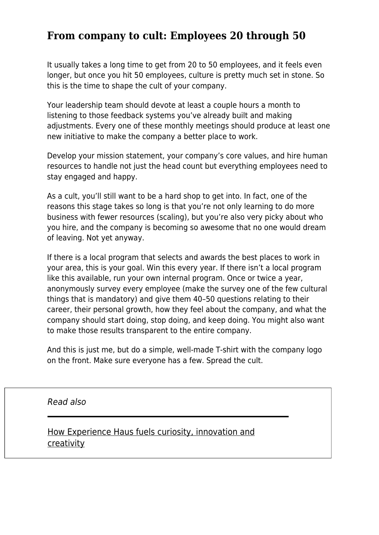#### **From company to cult: Employees 20 through 50**

It usually takes a long time to get from 20 to 50 employees, and it feels even longer, but once you hit 50 employees, culture is pretty much set in stone. So this is the time to shape the cult of your company.

Your leadership team should devote at least a couple hours a month to listening to those feedback systems you've already built and making adjustments. Every one of these monthly meetings should produce at least one new initiative to make the company a better place to work.

Develop your mission statement, your company's core values, and hire human resources to handle not just the head count but everything employees need to stay engaged and happy.

As a cult, you'll still want to be a hard shop to get into. In fact, one of the reasons this stage takes so long is that you're not only learning to do more business with fewer resources (scaling), but you're also very picky about who you hire, and the company is becoming so awesome that no one would dream of leaving. Not yet anyway.

If there is a local program that selects and awards the best places to work in your area, this is your goal. Win this every year. If there isn't a local program like this available, run your own internal program. Once or twice a year, anonymously survey every employee (make the survey one of the few cultural things that is mandatory) and give them 40–50 questions relating to their career, their personal growth, how they feel about the company, and what the company should start doing, stop doing, and keep doing. You might also want to make those results transparent to the entire company.

And this is just me, but do a simple, well-made T-shirt with the company logo on the front. Make sure everyone has a few. Spread the cult.

Read also

[How Experience Haus fuels curiosity, innovation and](https://www.maddyness.com/uk/2020/04/14/how-experience-haus-fuels-curiosity-innovation-and-creativity/) [creativity](https://www.maddyness.com/uk/2020/04/14/how-experience-haus-fuels-curiosity-innovation-and-creativity/)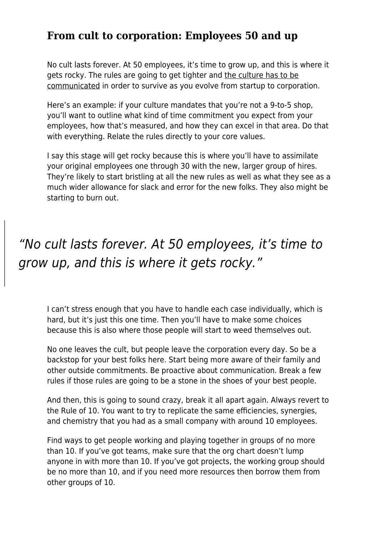#### **From cult to corporation: Employees 50 and up**

No cult lasts forever. At 50 employees, it's time to grow up, and this is where it gets rocky. The rules are going to get tighter and [the culture has to be](https://www.maddyness.com/uk/2019/10/22/chief-happiness-officer-poor-management/) [communicated](https://www.maddyness.com/uk/2019/10/22/chief-happiness-officer-poor-management/) in order to survive as you evolve from startup to corporation.

Here's an example: if your culture mandates that you're not a 9-to-5 shop, you'll want to outline what kind of time commitment you expect from your employees, how that's measured, and how they can excel in that area. Do that with everything. Relate the rules directly to your core values.

I say this stage will get rocky because this is where you'll have to assimilate your original employees one through 30 with the new, larger group of hires. They're likely to start bristling at all the new rules as well as what they see as a much wider allowance for slack and error for the new folks. They also might be starting to burn out.

# "No cult lasts forever. At 50 employees, it's time to grow up, and this is where it gets rocky."

I can't stress enough that you have to handle each case individually, which is hard, but it's just this one time. Then you'll have to make some choices because this is also where those people will start to weed themselves out.

No one leaves the cult, but people leave the corporation every day. So be a backstop for your best folks here. Start being more aware of their family and other outside commitments. Be proactive about communication. Break a few rules if those rules are going to be a stone in the shoes of your best people.

And then, this is going to sound crazy, break it all apart again. Always revert to the Rule of 10. You want to try to replicate the same efficiencies, synergies, and chemistry that you had as a small company with around 10 employees.

Find ways to get people working and playing together in groups of no more than 10. If you've got teams, make sure that the org chart doesn't lump anyone in with more than 10. If you've got projects, the working group should be no more than 10, and if you need more resources then borrow them from other groups of 10.